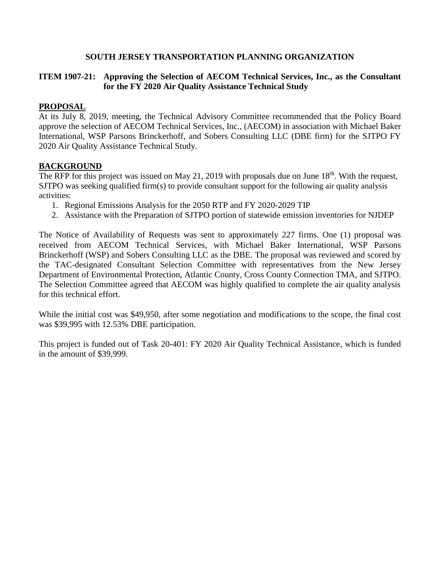#### **SOUTH JERSEY TRANSPORTATION PLANNING ORGANIZATION**

### **ITEM 1907-21: Approving the Selection of AECOM Technical Services, Inc., as the Consultant for the FY 2020 Air Quality Assistance Technical Study**

#### **PROPOSAL**

At its July 8, 2019, meeting, the Technical Advisory Committee recommended that the Policy Board approve the selection of AECOM Technical Services, Inc., (AECOM) in association with Michael Baker International, WSP Parsons Brinckerhoff, and Sobers Consulting LLC (DBE firm) for the SJTPO FY 2020 Air Quality Assistance Technical Study.

#### **BACKGROUND**

The RFP for this project was issued on May 21, 2019 with proposals due on June  $18<sup>th</sup>$ . With the request, SJTPO was seeking qualified firm(s) to provide consultant support for the following air quality analysis activities:

- 1. Regional Emissions Analysis for the 2050 RTP and FY 2020-2029 TIP
- 2. Assistance with the Preparation of SJTPO portion of statewide emission inventories for NJDEP

The Notice of Availability of Requests was sent to approximately 227 firms. One (1) proposal was received from AECOM Technical Services, with Michael Baker International, WSP Parsons Brinckerhoff (WSP) and Sobers Consulting LLC as the DBE. The proposal was reviewed and scored by the TAC-designated Consultant Selection Committee with representatives from the New Jersey Department of Environmental Protection, Atlantic County, Cross County Connection TMA, and SJTPO. The Selection Committee agreed that AECOM was highly qualified to complete the air quality analysis for this technical effort.

While the initial cost was \$49,950, after some negotiation and modifications to the scope, the final cost was \$39,995 with 12.53% DBE participation.

This project is funded out of Task 20-401: FY 2020 Air Quality Technical Assistance, which is funded in the amount of \$39,999.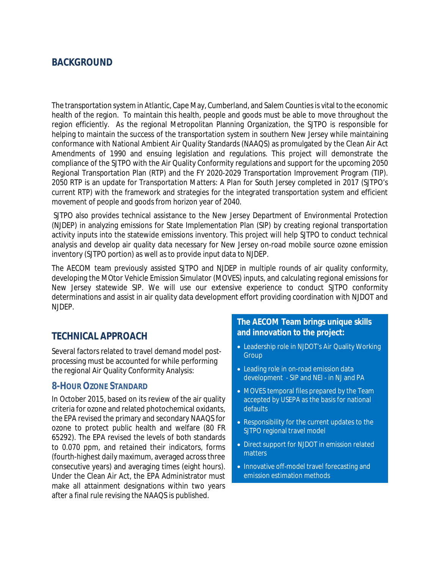# **BACKGROUND**

The transportation system in Atlantic, Cape May, Cumberland, and Salem Counties is vital to the economic health of the region. To maintain this health, people and goods must be able to move throughout the region efficiently. As the regional Metropolitan Planning Organization, the SJTPO is responsible for helping to maintain the success of the transportation system in southern New Jersey while maintaining conformance with National Ambient Air Quality Standards (NAAQS) as promulgated by the Clean Air Act Amendments of 1990 and ensuing legislation and regulations. This project will demonstrate the compliance of the SJTPO with the Air Quality Conformity regulations and support for the upcoming 2050 Regional Transportation Plan (RTP) and the FY 2020-2029 Transportation Improvement Program (TIP). 2050 RTP is an update for *Transportation Matters: A Plan for South Jersey* completed in 2017 (SJTPO's current RTP) with the framework and strategies for the integrated transportation system and efficient movement of people and goods from horizon year of 2040.

 SJTPO also provides technical assistance to the New Jersey Department of Environmental Protection (NJDEP) in analyzing emissions for State Implementation Plan (SIP) by creating regional transportation activity inputs into the statewide emissions inventory. This project will help SJTPO to conduct technical analysis and develop air quality data necessary for New Jersey on-road mobile source ozone emission inventory (SJTPO portion) as well as to provide input data to NJDEP.

The AECOM team previously assisted SJTPO and NJDEP in multiple rounds of air quality conformity, developing the MOtor Vehicle Emission Simulator (MOVES) inputs, and calculating regional emissions for New Jersey statewide SIP. We will use our extensive experience to conduct SJTPO conformity determinations and assist in air quality data development effort providing coordination with NJDOT and NJDEP.

## **TECHNICAL APPROACH**

Several factors related to travel demand model postprocessing must be accounted for while performing the regional Air Quality Conformity Analysis:

### **8-HOUR OZONE STANDARD**

In October 2015, based on its review of the air quality criteria for ozone and related photochemical oxidants, the EPA revised the primary and secondary NAAQS for ozone to protect public health and welfare (80 FR 65292). The EPA revised the levels of both standards to 0.070 ppm, and retained their indicators, forms (fourth-highest daily maximum, averaged across three consecutive years) and averaging times (eight hours). Under the Clean Air Act, the EPA Administrator must make all attainment designations within two years after a final rule revising the NAAQS is published.

### **The AECOM Team brings unique skills and innovation to the project:**

- Leadership role in NJDOT's Air Quality Working Group
- · Leading role in on-road emission data development - SIP and NEI - in NJ and PA
- · MOVES temporal files prepared by the Team accepted by USEPA as the basis for national defaults
- · Responsibility for the current updates to the SJTPO regional travel model
- · Direct support for NJDOT in emission related matters
- · Innovative off-model travel forecasting and emission estimation methods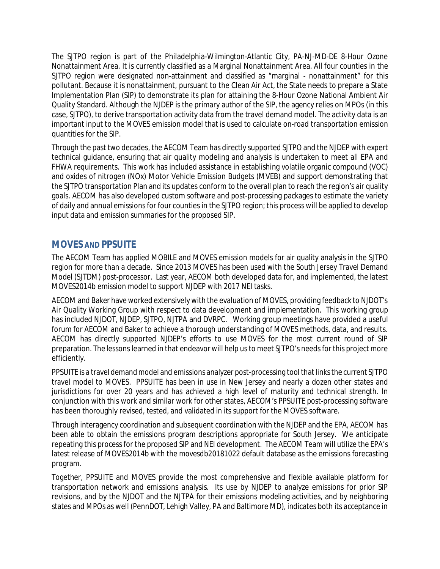The SJTPO region is part of the Philadelphia-Wilmington-Atlantic City, PA-NJ-MD-DE 8-Hour Ozone Nonattainment Area. It is currently classified as a Marginal Nonattainment Area. All four counties in the SJTPO region were designated non-attainment and classified as "marginal - nonattainment" for this pollutant. Because it is nonattainment, pursuant to the Clean Air Act, the State needs to prepare a State Implementation Plan (SIP) to demonstrate its plan for attaining the 8-Hour Ozone National Ambient Air Quality Standard. Although the NJDEP is the primary author of the SIP, the agency relies on MPOs (in this case, SJTPO), to derive transportation activity data from the travel demand model. The activity data is an important input to the MOVES emission model that is used to calculate on-road transportation emission quantities for the SIP.

Through the past two decades, the AECOM Team has directly supported SJTPO and the NJDEP with expert technical guidance, ensuring that air quality modeling and analysis is undertaken to meet all EPA and FHWA requirements. This work has included assistance in establishing volatile organic compound (VOC) and oxides of nitrogen (NOx) Motor Vehicle Emission Budgets (MVEB) and support demonstrating that the SJTPO transportation Plan and its updates conform to the overall plan to reach the region's air quality goals. AECOM has also developed custom software and post-processing packages to estimate the variety of daily and annual emissions for four counties in the SJTPO region; this process will be applied to develop input data and emission summaries for the proposed SIP.

## **MOVES AND PPSUITE**

The AECOM Team has applied MOBILE and MOVES emission models for air quality analysis in the SJTPO region for more than a decade. Since 2013 MOVES has been used with the South Jersey Travel Demand Model (SJTDM) post-processor. Last year, AECOM both developed data for, and implemented, the latest MOVES2014b emission model to support NJDEP with 2017 NEI tasks.

AECOM and Baker have worked extensively with the evaluation of MOVES, providing feedback to NJDOT's Air Quality Working Group with respect to data development and implementation. This working group has included NJDOT, NJDEP, SJTPO, NJTPA and DVRPC. Working group meetings have provided a useful forum for AECOM and Baker to achieve a thorough understanding of MOVES methods, data, and results. AECOM has directly supported NJDEP's efforts to use MOVES for the most current round of SIP preparation. The lessons learned in that endeavor will help us to meet SJTPO's needs for this project more efficiently.

PPSUITE is a travel demand model and emissions analyzer post-processing tool that links the current SJTPO travel model to MOVES. PPSUITE has been in use in New Jersey and nearly a dozen other states and jurisdictions for over 20 years and has achieved a high level of maturity and technical strength. In conjunction with this work and similar work for other states, AECOM's PPSUITE post-processing software has been thoroughly revised, tested, and validated in its support for the MOVES software.

Through interagency coordination and subsequent coordination with the NJDEP and the EPA, AECOM has been able to obtain the emissions program descriptions appropriate for South Jersey. We anticipate repeating this process for the proposed SIP and NEI development. The AECOM Team will utilize the EPA's latest release of MOVES2014b with the *movesdb20181022* default database as the emissions forecasting program.

Together, PPSUITE and MOVES provide the most comprehensive and flexible available platform for transportation network and emissions analysis. Its use by NJDEP to analyze emissions for prior SIP revisions, and by the NJDOT and the NJTPA for their emissions modeling activities, and by neighboring states and MPOs as well (PennDOT, Lehigh Valley, PA and Baltimore MD), indicates both its acceptance in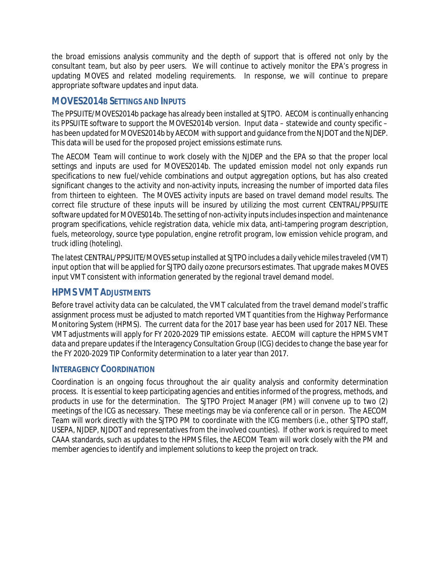the broad emissions analysis community and the depth of support that is offered not only by the consultant team, but also by peer users. We will continue to actively monitor the EPA's progress in updating MOVES and related modeling requirements. In response, we will continue to prepare appropriate software updates and input data.

### **MOVES2014B SETTINGS AND INPUTS**

The PPSUITE/MOVES2014b package has already been installed at SJTPO. AECOM is continually enhancing its PPSUITE software to support the MOVES2014b version. Input data – statewide and county specific – has been updated for MOVES2014b by AECOM with support and guidance from the NJDOT and the NJDEP. This data will be used for the proposed project emissions estimate runs.

The AECOM Team will continue to work closely with the NJDEP and the EPA so that the proper local settings and inputs are used for MOVES2014b. The updated emission model not only expands run specifications to new fuel/vehicle combinations and output aggregation options, but has also created significant changes to the activity and non-activity inputs, increasing the number of imported data files from thirteen to eighteen. The MOVES activity inputs are based on travel demand model results. The correct file structure of these inputs will be insured by utilizing the most current CENTRAL/PPSUITE software updated for MOVES014b. The setting of non-activity inputs includes inspection and maintenance program specifications, vehicle registration data, vehicle mix data, anti-tampering program description, fuels, meteorology, source type population, engine retrofit program, low emission vehicle program, and truck idling (hoteling).

The latest CENTRAL/PPSUITE/MOVES setup installed at SJTPO includes a daily vehicle miles traveled (VMT) input option that will be applied for SJTPO daily ozone precursors estimates. That upgrade makes MOVES input VMT consistent with information generated by the regional travel demand model.

## **HPMS VMT ADJUSTMENTS**

Before travel activity data can be calculated, the VMT calculated from the travel demand model's traffic assignment process must be adjusted to match reported VMT quantities from the Highway Performance Monitoring System (HPMS). The current data for the 2017 base year has been used for 2017 NEI. These VMT adjustments will apply for FY 2020-2029 TIP emissions estate. AECOM will capture the HPMS VMT data and prepare updates if the Interagency Consultation Group (ICG) decides to change the base year for the FY 2020-2029 TIP Conformity determination to a later year than 2017.

### **INTERAGENCY COORDINATION**

Coordination is an ongoing focus throughout the air quality analysis and conformity determination process. It is essential to keep participating agencies and entities informed of the progress, methods, and products in use for the determination. The SJTPO Project Manager (PM) will convene up to two (2) meetings of the ICG as necessary. These meetings may be via conference call or in person. The AECOM Team will work directly with the SJTPO PM to coordinate with the ICG members (i.e., other SJTPO staff, USEPA, NJDEP, NJDOT and representatives from the involved counties). If other work is required to meet CAAA standards, such as updates to the HPMS files, the AECOM Team will work closely with the PM and member agencies to identify and implement solutions to keep the project on track.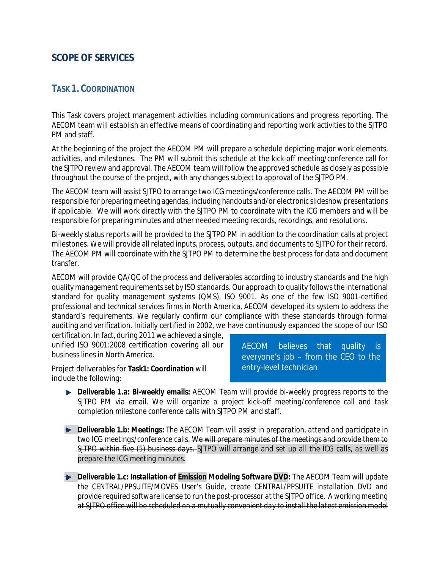# **SCOPE OF SERVICES**

### **TASK 1. COORDINATION**

This Task covers project management activities including communications and progress reporting. The AECOM team will establish an effective means of coordinating and reporting work activities to the SJTPO PM and staff.

At the beginning of the project the AECOM PM will prepare a schedule depicting major work elements, activities, and milestones. The PM will submit this schedule at the kick-off meeting/conference call for the SJTPO review and approval. The AECOM team will follow the approved schedule as closely as possible throughout the course of the project, with any changes subject to approval of the SJTPO PM.

The AECOM team will assist SJTPO to arrange two ICG meetings/conference calls. The AECOM PM will be responsible for preparing meeting agendas, including handouts and/or electronic slideshow presentations if applicable. We will work directly with the SJTPO PM to coordinate with the ICG members and will be responsible for preparing minutes and other needed meeting records, recordings, and resolutions.

Bi-weekly status reports will be provided to the SJTPO PM in addition to the coordination calls at project milestones. We will provide all related inputs, process, outputs, and documents to SJTPO for their record. The AECOM PM will coordinate with the SJTPO PM to determine the best process for data and document transfer.

AECOM will provide QA/QC of the process and deliverables according to industry standards and the high quality management requirements set by ISO standards. Our approach to quality follows the international standard for quality management systems (QMS), ISO 9001. As one of the few ISO 9001-certified professional and technical services firms in North America, AECOM developed its system to address the standard's requirements. We regularly confirm our compliance with these standards through formal auditing and verification. Initially certified in 2002, we have continuously expanded the scope of our ISO

certification. In fact, during 2011 we achieved a single, unified ISO 9001:2008 certification covering all our business lines in North America.

Project deliverables for **Task1: Coordination** will include the following:

AECOM believes that quality is everyone's job – from the CEO to the entry-level technician

- *Deliverable 1.a: Bi-weekly emails: AECOM Team will provide bi-weekly progress reports to the SJTPO PM via email. We will organize a project kick-off meeting/conference call and task completion milestone conference calls with SJTPO PM and staff.*
- *Deliverable 1.b: Meetings: The AECOM Team will assist in preparation, attend and participate in two ICG meetings/conference calls. We will prepare minutes of the meetings and provide them to SJTPO within five (5) business days. SJTPO will arrange and set up all the ICG calls, as well as prepare the ICG meeting minutes.*
- *Deliverable 1.c: Installation of Emission Modeling Software DVD: The AECOM Team will update the CENTRAL/PPSUITE/MOVES User's Guide, create CENTRAL/PPSUITE installation DVD and provide required software license to run the post-processor at the SJTPO office. A working meeting at SJTPO office will be scheduled on a mutually convenient day to install the latest emission model*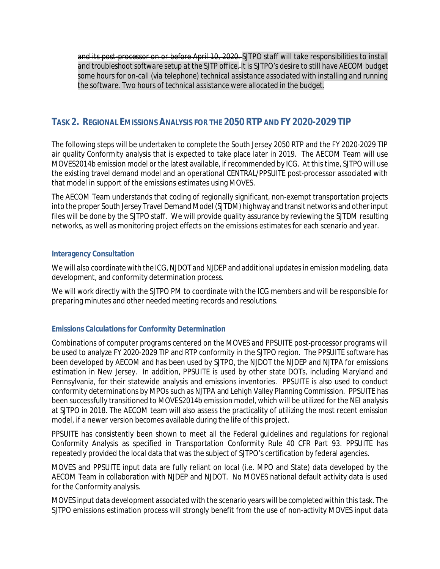*and its post-processor on or before April 10, 2020. SJTPO staff will take responsibilities to install and troubleshoot software setup at the SJTP office. It is SJTPO's desire to still have AECOM budget some hours for on-call (via telephone) technical assistance associated with installing and running the software. Two hours of technical assistance were allocated in the budget.*

# **TASK 2. REGIONAL EMISSIONS ANALYSIS FOR THE 2050 RTP AND FY 2020-2029 TIP**

The following steps will be undertaken to complete the South Jersey 2050 RTP and the FY 2020-2029 TIP air quality Conformity analysis that is expected to take place later in 2019. The AECOM Team will use MOVES2014b emission model or the latest available, if recommended by ICG. At this time, SJTPO will use the existing travel demand model and an operational CENTRAL/PPSUITE post-processor associated with that model in support of the emissions estimates using MOVES.

The AECOM Team understands that coding of regionally significant, non-exempt transportation projects into the proper South Jersey Travel Demand Model (SJTDM) highway and transit networks and other input files will be done by the SJTPO staff. We will provide quality assurance by reviewing the SJTDM resulting networks, as well as monitoring project effects on the emissions estimates for each scenario and year.

#### **Interagency Consultation**

We will also coordinate with the ICG, NJDOT and NJDEP and additional updates in emission modeling, data development, and conformity determination process.

We will work directly with the SJTPO PM to coordinate with the ICG members and will be responsible for preparing minutes and other needed meeting records and resolutions.

### **Emissions Calculations for Conformity Determination**

Combinations of computer programs centered on the MOVES and PPSUITE post-processor programs will be used to analyze FY 2020-2029 TIP and RTP conformity in the SJTPO region. The PPSUITE software has been developed by AECOM and has been used by SJTPO, the NJDOT the NJDEP and NJTPA for emissions estimation in New Jersey. In addition, PPSUITE is used by other state DOTs, including Maryland and Pennsylvania, for their statewide analysis and emissions inventories. PPSUITE is also used to conduct conformity determinations by MPOs such as NJTPA and Lehigh Valley Planning Commission. PPSUITE has been successfully transitioned to MOVES2014b emission model, which will be utilized for the NEI analysis at SJTPO in 2018. The AECOM team will also assess the practicality of utilizing the most recent emission model, if a newer version becomes available during the life of this project.

PPSUITE has consistently been shown to meet all the Federal guidelines and regulations for regional Conformity Analysis as specified in Transportation Conformity Rule 40 CFR Part 93. PPSUITE has repeatedly provided the local data that was the subject of SJTPO's certification by federal agencies.

MOVES and PPSUITE input data are fully reliant on local (i.e. MPO and State) data developed by the AECOM Team in collaboration with NJDEP and NJDOT. No MOVES national default activity data is used for the Conformity analysis.

MOVES input data development associated with the scenario years will be completed within this task. The SJTPO emissions estimation process will strongly benefit from the use of non-activity MOVES input data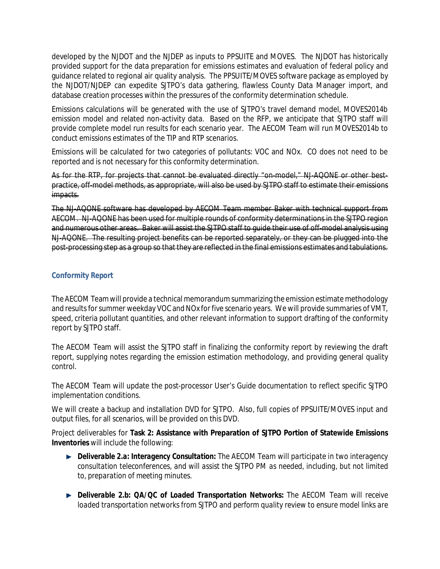developed by the NJDOT and the NJDEP as inputs to PPSUITE and MOVES. The NJDOT has historically provided support for the data preparation for emissions estimates and evaluation of federal policy and guidance related to regional air quality analysis. The PPSUITE/MOVES software package as employed by the NJDOT/NJDEP can expedite SJTPO's data gathering, flawless County Data Manager import, and database creation processes within the pressures of the conformity determination schedule.

Emissions calculations will be generated with the use of SJTPO's travel demand model, MOVES2014b emission model and related non-activity data. Based on the RFP, we anticipate that SJTPO staff will provide complete model run results for each scenario year. The AECOM Team will run MOVES2014b to conduct emissions estimates of the TIP and RTP scenarios.

Emissions will be calculated for two categories of pollutants: VOC and NOx. CO does not need to be reported and is not necessary for this conformity determination.

As for the RTP, for projects that cannot be evaluated directly "on-model," NJ-AQONE or other bestpractice, off-model methods, as appropriate, will also be used by SJTPO staff to estimate their emissions impacts.

The NJ-AQONE software has developed by AECOM Team member Baker with technical support from AECOM. NJ-AQONE has been used for multiple rounds of conformity determinations in the SJTPO region and numerous other areas. Baker will assist the SJTPO staff to guide their use of off-model analysis using NJ-AQONE. The resulting project benefits can be reported separately, or they can be plugged into the post-processing step as a group so that they are reflected in the final emissions estimates and tabulations.

### **Conformity Report**

The AECOM Team will provide a technical memorandum summarizing the emission estimate methodology and results for summer weekday VOC and NOx for five scenario years. We will provide summaries of VMT, speed, criteria pollutant quantities, and other relevant information to support drafting of the conformity report by SJTPO staff.

The AECOM Team will assist the SJTPO staff in finalizing the conformity report by reviewing the draft report, supplying notes regarding the emission estimation methodology, and providing general quality control.

The AECOM Team will update the post-processor User's Guide documentation to reflect specific SJTPO implementation conditions.

We will create a backup and installation DVD for SJTPO. Also, full copies of PPSUITE/MOVES input and output files, for all scenarios, will be provided on this DVD.

Project deliverables for **Task 2: Assistance with Preparation of SJTPO Portion of Statewide Emissions Inventories** will include the following:

- *Deliverable 2.a: Interagency Consultation: The AECOM Team will participate in two interagency consultation teleconferences, and will assist the SJTPO PM as needed, including, but not limited to, preparation of meeting minutes.*
- *Deliverable 2.b: QA/QC of Loaded Transportation Networks: The AECOM Team will receive loaded transportation networks from SJTPO and perform quality review to ensure model links are*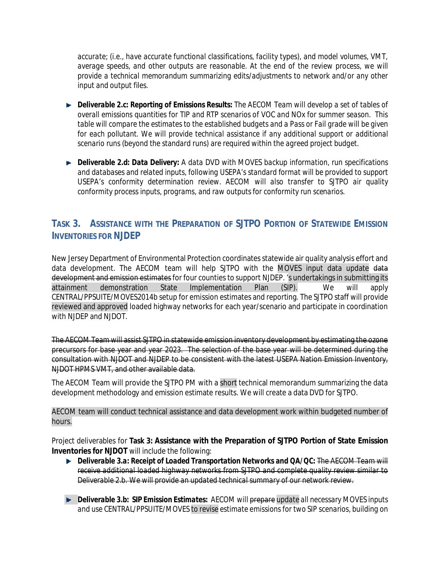*accurate; (i.e., have accurate functional classifications, facility types), and model volumes, VMT, average speeds, and other outputs are reasonable. At the end of the review process, we will provide a technical memorandum summarizing edits/adjustments to network and/or any other input and output files.*

- *Deliverable 2.c: Reporting of Emissions Results: The AECOM Team will develop a set of tables of overall emissions quantities for TIP and RTP scenarios of VOC and NOx for summer season. This table will compare the estimates to the established budgets and a Pass or Fail grade will be given for each pollutant. We will provide technical assistance if any additional support or additional scenario runs (beyond the standard runs) are required within the agreed project budget.*
- *Deliverable 2.d: Data Delivery: A data DVD with MOVES backup information, run specifications and databases and related inputs, following USEPA's standard format will be provided to support USEPA's conformity determination review. AECOM will also transfer to SJTPO air quality conformity process inputs, programs, and raw outputs for conformity run scenarios.*

# **TASK 3. ASSISTANCE WITH THE PREPARATION OF SJTPO PORTION OF STATEWIDE EMISSION INVENTORIES FOR NJDEP**

New Jersey Department of Environmental Protection coordinates statewide air quality analysis effort and data development. The AECOM team will help SJTPO with the MOVES input data update data development and emission estimates for four counties to support NJDEP. 's undertakings in submitting its attainment demonstration State Implementation Plan (SIP). We will apply CENTRAL/PPSUITE/MOVES2014b setup for emission estimates and reporting. The SJTPO staff will provide reviewed and approved loaded highway networks for each year/scenario and participate in coordination with NJDEP and NJDOT.

The AECOM Team will assist SJTPO in statewide emission inventory development by estimating the ozone precursors for base year and year 2023. The selection of the base year will be determined during the consultation with NJDOT and NJDEP to be consistent with the latest USEPA Nation Emission Inventory, NJDOT HPMS VMT, and other available data.

The AECOM Team will provide the SJTPO PM with a short technical memorandum summarizing the data development methodology and emission estimate results. We will create a data DVD for SJTPO.

#### AECOM team will conduct technical assistance and data development work within budgeted number of hours.

Project deliverables for **Task 3: Assistance with the Preparation of SJTPO Portion of State Emission Inventories for NJDOT** will include the following:

- *Deliverable 3.a: Receipt of Loaded Transportation Networks and QA/QC: The AECOM Team will receive additional loaded highway networks from SJTPO and complete quality review similar to Deliverable 2.b. We will provide an updated technical summary of our network review.*
- *Deliverable 3.b: SIP Emission Estimates: AECOM will prepare update all necessary MOVES inputs and use CENTRAL/PPSUITE/MOVES to revise estimate emissions for two SIP scenarios, building on*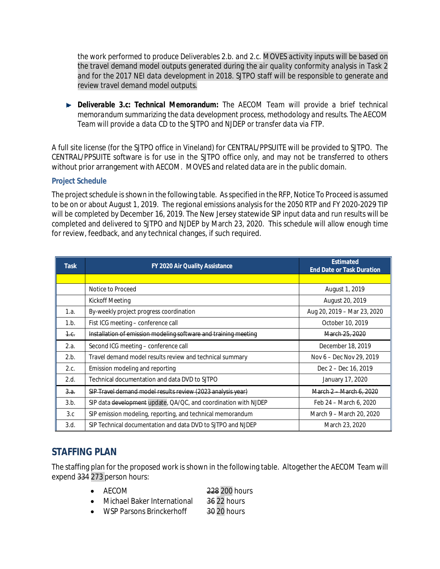*the work performed to produce Deliverables 2.b. and 2.c. MOVES activity inputs will be based on the travel demand model outputs generated during the air quality conformity analysis in Task 2 and for the 2017 NEI data development in 2018. SJTPO staff will be responsible to generate and review travel demand model outputs.*

*Deliverable 3.c: Technical Memorandum: The AECOM Team will provide a brief technical memorandum summarizing the data development process, methodology and results. The AECOM Team will provide a data CD to the SJTPO and NJDEP or transfer data via FTP.*

A full site license (for the SJTPO office in Vineland) for CENTRAL/PPSUITE will be provided to SJTPO. The CENTRAL/PPSUITE software is for use in the SJTPO office only, and may not be transferred to others without prior arrangement with AECOM. MOVES and related data are in the public domain.

#### **Project Schedule**

The project schedule is shown in the following table. As specified in the RFP, Notice To Proceed is assumed to be on or about August 1, 2019. The regional emissions analysis for the 2050 RTP and FY 2020-2029 TIP will be completed by December 16, 2019. The New Jersey statewide SIP input data and run results will be completed and delivered to SJTPO and NJDEP by March 23, 2020. This schedule will allow enough time for review, feedback, and any technical changes, if such required.

| <b>Task</b>     | FY 2020 Air Quality Assistance                                  | Estimated<br><b>End Date or Task Duration</b> |  |  |
|-----------------|-----------------------------------------------------------------|-----------------------------------------------|--|--|
|                 |                                                                 |                                               |  |  |
|                 | Notice to Proceed                                               | August 1, 2019                                |  |  |
|                 | Kickoff Meeting                                                 | August 20, 2019                               |  |  |
| 1.a.            | By-weekly project progress coordination                         | Aug 20, 2019 - Mar 23, 2020                   |  |  |
| 1.b.            | Fist ICG meeting - conference call                              | October 10, 2019                              |  |  |
| 1. <sub>6</sub> | Installation of emission modeling software and training meeting | March 25, 2020                                |  |  |
| 2.a.            | Second ICG meeting - conference call                            | December 18, 2019                             |  |  |
| 2.b.            | Travel demand model results review and technical summary        | Nov 6 – Dec Nov 29, 2019                      |  |  |
| 2.c.            | Emission modeling and reporting                                 | Dec 2 – Dec 16, 2019                          |  |  |
| 2.d.            | Technical documentation and data DVD to SJTPO                   | January 17, 2020                              |  |  |
| 3.a.            | SIP Travel demand model results review (2023 analysis year)     | March 2 March 6, 2020                         |  |  |
| 3.b.            | SIP data development update, QA/QC, and coordination with NJDEP | Feb 24 - March 6, 2020                        |  |  |
| 3.c             | SIP emission modeling, reporting, and technical memorandum      | March 9 – March 20, 2020                      |  |  |
| 3.d.            | SIP Technical documentation and data DVD to SJTPO and NJDEP     | March 23, 2020                                |  |  |

## **STAFFING PLAN**

The staffing plan for the proposed work is shown in the following table. Altogether the AECOM Team will expend 334 273 person hours:

- Michael Baker International 36 22 hours
- WSP Parsons Brinckerhoff 30 20 hours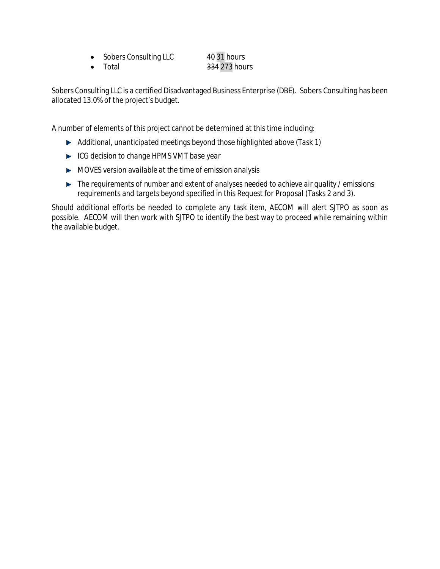• Sobers Consulting LLC 40 31 hours • Total 334 273 hours

Sobers Consulting LLC is a certified Disadvantaged Business Enterprise (DBE). Sobers Consulting has been allocated 13.0% of the project's budget.

A number of elements of this project cannot be determined at this time including:

- *Additional, unanticipated meetings beyond those highlighted above (Task 1)*
- *ICG decision to change HPMS VMT base year*
- *MOVES version available at the time of emission analysis*
- *The requirements of number and extent of analyses needed to achieve air quality / emissions requirements and targets beyond specified in this Request for Proposal (Tasks 2 and 3).*

Should additional efforts be needed to complete any task item, AECOM will alert SJTPO as soon as possible. AECOM will then work with SJTPO to identify the best way to proceed while remaining within the available budget.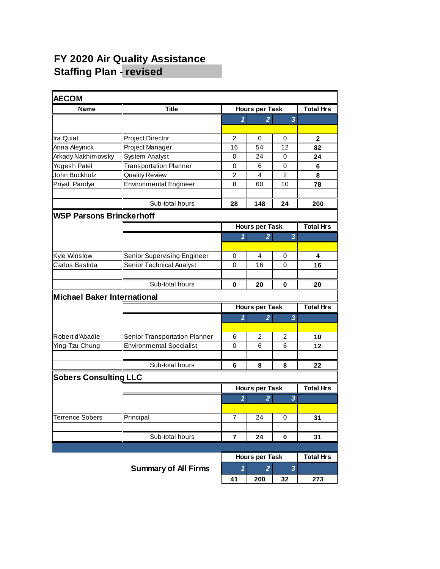# **FY 2020 Air Quality Assistance Staffing Plan - revised**

| <b>AECOM</b>                       |                                    |                       |                       |                         |                  |
|------------------------------------|------------------------------------|-----------------------|-----------------------|-------------------------|------------------|
| Name                               | <b>Title</b>                       | <b>Hours per Task</b> |                       |                         | <b>Total Hrs</b> |
|                                    |                                    | 1                     | $\overline{2}$        | 3                       |                  |
|                                    |                                    |                       |                       |                         |                  |
| Ira Quiat                          | <b>Project Director</b>            | 2                     | 0                     | 0                       | $\mathbf{2}$     |
| Anna Aleynick                      | Project Manager                    | 16                    | 54                    | 12                      | 82               |
| Arkady Nakhimovsky                 | System Analyst                     | 0                     | 24                    | 0                       | 24               |
| Yogesh Patel                       | <b>Transportation Planner</b>      | 0                     | 6                     | 0                       | 6                |
| John Buckholz                      | <b>Quality Review</b>              | 2                     | 4                     | $\overline{2}$          | 8                |
| Priyal Pandya                      | <b>Environmental Engineer</b>      | 8                     | 60                    | 10                      | 78               |
|                                    |                                    |                       |                       |                         |                  |
|                                    | Sub-total hours                    | 28                    | 148                   | 24                      | 200              |
| <b>WSP Parsons Brinckerhoff</b>    |                                    |                       |                       |                         |                  |
|                                    |                                    |                       | <b>Hours per Task</b> |                         | <b>Total Hrs</b> |
|                                    |                                    | 1                     | $\overline{2}$        | 3                       |                  |
|                                    |                                    |                       |                       |                         |                  |
| <b>Kyle Winslow</b>                | <b>Senior Supervising Engineer</b> | 0                     | 4                     | 0                       | 4                |
| Carlos Bastida                     | Senior Technical Analyst           | 0                     | 16                    | 0                       | 16               |
|                                    |                                    |                       |                       |                         |                  |
|                                    | Sub-total hours                    | 0                     | 20                    | 0                       | 20               |
| <b>Michael Baker International</b> |                                    |                       |                       |                         |                  |
|                                    |                                    | <b>Hours per Task</b> |                       | <b>Total Hrs</b>        |                  |
|                                    |                                    | 1                     | $\overline{2}$        | 3                       |                  |
|                                    |                                    |                       |                       |                         |                  |
| Robert d'Abadie                    | Senior Transportation Planner      | 6                     | 2                     | 2                       | 10               |
| Ying-Tzu Chung                     | <b>Environmental Specialist</b>    | 0                     | 6                     | 6                       | 12               |
|                                    |                                    |                       |                       |                         |                  |
|                                    | Sub-total hours                    | 6                     | 8                     | 8                       | 22               |
| <b>Sobers Consulting LLC</b>       |                                    |                       |                       |                         |                  |
|                                    |                                    |                       | <b>Hours per Task</b> | <b>Total Hrs</b>        |                  |
|                                    |                                    | 1                     | $\overline{2}$        | 3                       |                  |
|                                    |                                    |                       |                       |                         |                  |
| <b>Terrence Sobers</b>             | Principal                          | 7                     | 24                    | 0                       | 31               |
|                                    |                                    |                       |                       |                         |                  |
|                                    | Sub-total hours                    | $\overline{7}$        | 24                    | 0                       | 31               |
|                                    |                                    |                       |                       |                         |                  |
|                                    |                                    |                       | <b>Hours per Task</b> |                         | <b>Total Hrs</b> |
|                                    | <b>Summary of All Firms</b>        | $\mathbf{1}$          | $\overline{2}$        | $\overline{\mathbf{3}}$ |                  |
|                                    |                                    | 41                    | 200                   | 32                      | 273              |
|                                    |                                    |                       |                       |                         |                  |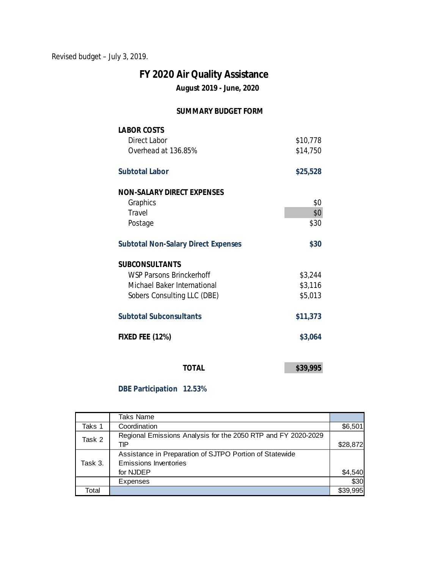Revised budget – July 3, 2019.

# **August 2019 - June, 2020 FY 2020 Air Quality Assistance**

### **SUMMARY BUDGET FORM**

| <b>LABOR COSTS</b>                         |          |
|--------------------------------------------|----------|
| Direct Labor                               | \$10,778 |
| Overhead at 136.85%                        | \$14,750 |
|                                            |          |
| Subtotal Labor                             | \$25,528 |
|                                            |          |
| NON-SALARY DIRECT EXPENSES                 |          |
| Graphics                                   | \$0      |
| Travel                                     | \$0      |
| Postage                                    | \$30     |
|                                            |          |
| <b>Subtotal Non-Salary Direct Expenses</b> | \$30     |
|                                            |          |
| <b>SUBCONSULTANTS</b>                      |          |
| WSP Parsons Brinckerhoff                   | \$3,244  |
| Michael Baker International                | \$3,116  |
| Sobers Consulting LLC (DBE)                | \$5,013  |
|                                            |          |
| <b>Subtotal Subconsultants</b>             | \$11,373 |
|                                            |          |
| <b>FIXED FEE (12%)</b>                     | \$3,064  |
|                                            |          |
|                                            |          |
| <b>TOTAL</b>                               | \$39,995 |

**DBE Participation 12.53%**

|         | Taks Name                                                                                            |                 |
|---------|------------------------------------------------------------------------------------------------------|-----------------|
| Taks 1  | Coordination                                                                                         | \$6,501         |
| Task 2  | Regional Emissions Analysis for the 2050 RTP and FY 2020-2029<br>TIP                                 | \$28,872        |
| Task 3. | Assistance in Preparation of SJTPO Portion of Statewide<br><b>Emissions Inventories</b><br>for NJDEP |                 |
|         | Expenses                                                                                             | \$4,540<br>\$30 |
| Total   |                                                                                                      |                 |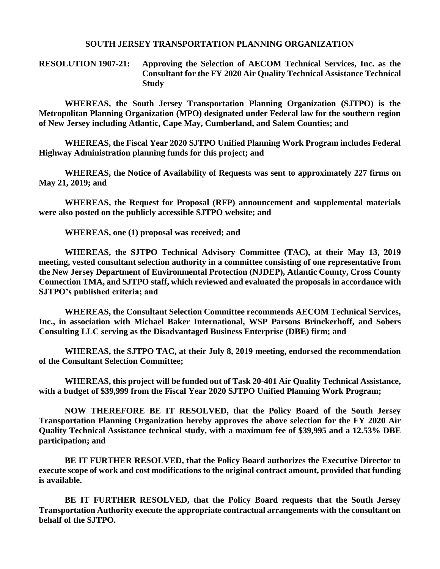#### **SOUTH JERSEY TRANSPORTATION PLANNING ORGANIZATION**

#### **RESOLUTION 1907-21: Approving the Selection of AECOM Technical Services, Inc. as the Consultant for the FY 2020 Air Quality Technical Assistance Technical Study**

**WHEREAS, the South Jersey Transportation Planning Organization (SJTPO) is the Metropolitan Planning Organization (MPO) designated under Federal law for the southern region of New Jersey including Atlantic, Cape May, Cumberland, and Salem Counties; and**

**WHEREAS, the Fiscal Year 2020 SJTPO Unified Planning Work Program includes Federal Highway Administration planning funds for this project; and**

**WHEREAS, the Notice of Availability of Requests was sent to approximately 227 firms on May 21, 2019; and**

**WHEREAS, the Request for Proposal (RFP) announcement and supplemental materials were also posted on the publicly accessible SJTPO website; and**

**WHEREAS, one (1) proposal was received; and**

**WHEREAS, the SJTPO Technical Advisory Committee (TAC), at their May 13, 2019 meeting, vested consultant selection authority in a committee consisting of one representative from the New Jersey Department of Environmental Protection (NJDEP), Atlantic County, Cross County Connection TMA, and SJTPO staff, which reviewed and evaluated the proposals in accordance with SJTPO's published criteria; and**

**WHEREAS, the Consultant Selection Committee recommends AECOM Technical Services, Inc., in association with Michael Baker International, WSP Parsons Brinckerhoff, and Sobers Consulting LLC serving as the Disadvantaged Business Enterprise (DBE) firm; and**

**WHEREAS, the SJTPO TAC, at their July 8, 2019 meeting, endorsed the recommendation of the Consultant Selection Committee;**

**WHEREAS, this project will be funded out of Task 20-401 Air Quality Technical Assistance, with a budget of \$39,999 from the Fiscal Year 2020 SJTPO Unified Planning Work Program;**

**NOW THEREFORE BE IT RESOLVED, that the Policy Board of the South Jersey Transportation Planning Organization hereby approves the above selection for the FY 2020 Air Quality Technical Assistance technical study, with a maximum fee of \$39,995 and a 12.53% DBE participation; and**

**BE IT FURTHER RESOLVED, that the Policy Board authorizes the Executive Director to execute scope of work and cost modifications to the original contract amount, provided that funding is available.**

**BE IT FURTHER RESOLVED, that the Policy Board requests that the South Jersey Transportation Authority execute the appropriate contractual arrangements with the consultant on behalf of the SJTPO.**